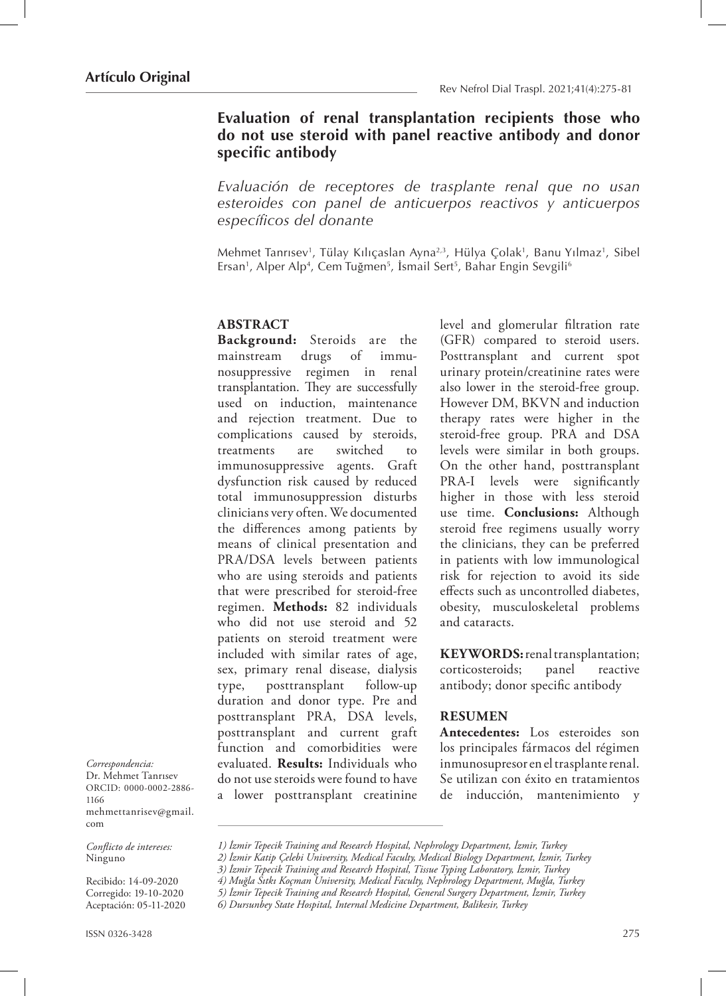# **Evaluation of renal transplantation recipients those who do not use steroid with panel reactive antibody and donor specific antibody**

*Evaluación de receptores de trasplante renal que no usan esteroides con panel de anticuerpos reactivos y anticuerpos específicos del donante*

Mehmet Tanrısev<sup>1</sup>, Tülay Kılıçaslan Ayna<sup>2,3</sup>, Hülya Çolak<sup>1</sup>, Banu Yılmaz<sup>1</sup>, Sibel Ersan<sup>1</sup>, Alper Alp<sup>4</sup>, Cem Tuğmen<sup>5</sup>, İsmail Sert<sup>5</sup>, Bahar Engin Sevgili<sup>6</sup>

#### **ABSTRACT**

**Background:** Steroids are the mainstream drugs of immunosuppressive regimen in renal transplantation. They are successfully used on induction, maintenance and rejection treatment. Due to complications caused by steroids, treatments are switched to immunosuppressive agents. Graft dysfunction risk caused by reduced total immunosuppression disturbs clinicians very often. We documented the differences among patients by means of clinical presentation and PRA/DSA levels between patients who are using steroids and patients that were prescribed for steroid-free regimen. **Methods:** 82 individuals who did not use steroid and 52 patients on steroid treatment were included with similar rates of age, sex, primary renal disease, dialysis type, posttransplant follow-up duration and donor type. Pre and posttransplant PRA, DSA levels, posttransplant and current graft function and comorbidities were evaluated. **Results:** Individuals who do not use steroids were found to have a lower posttransplant creatinine level and glomerular filtration rate (GFR) compared to steroid users. Posttransplant and current spot urinary protein/creatinine rates were also lower in the steroid-free group. However DM, BKVN and induction therapy rates were higher in the steroid-free group. PRA and DSA levels were similar in both groups. On the other hand, posttransplant PRA-I levels were significantly higher in those with less steroid use time. **Conclusions:** Although steroid free regimens usually worry the clinicians, they can be preferred in patients with low immunological risk for rejection to avoid its side effects such as uncontrolled diabetes, obesity, musculoskeletal problems and cataracts.

**KEYWORDS:** renal transplantation; corticosteroids; panel reactive antibody; donor specific antibody

#### **RESUMEN**

**Antecedentes:** Los esteroides son los principales fármacos del régimen inmunosupresor en el trasplante renal. Se utilizan con éxito en tratamientos de inducción, mantenimiento y

*Correspondencia:* Dr. Mehmet Tanrısev ORCID: 0000-0002-2886- 1166 mehmettanrisev@gmail. com

*Conflicto de intereses:*  Ninguno

Recibido: 14-09-2020 Corregido: 19-10-2020 Aceptación: 05-11-2020

*<sup>1)</sup> İzmir Tepecik Training and Research Hospital, Nephrology Department, İzmir, Turkey*

*<sup>2)</sup> İzmir Katip Çelebi University, Medical Faculty, Medical Biology Department, İzmir, Turkey*

*<sup>3)</sup> İzmir Tepecik Training and Research Hospital, Tissue Typing Laboratory, İzmir, Turkey*

*<sup>4)</sup> Muğla Sıtkı Koçman University, Medical Faculty, Nephrology Department, Muğla, Turkey*

*<sup>5)</sup> İzmir Tepecik Training and Research Hospital, General Surgery Department, İzmir, Turkey*

*<sup>6)</sup> Dursunbey State Hospital, Internal Medicine Department, Balikesir, Turkey*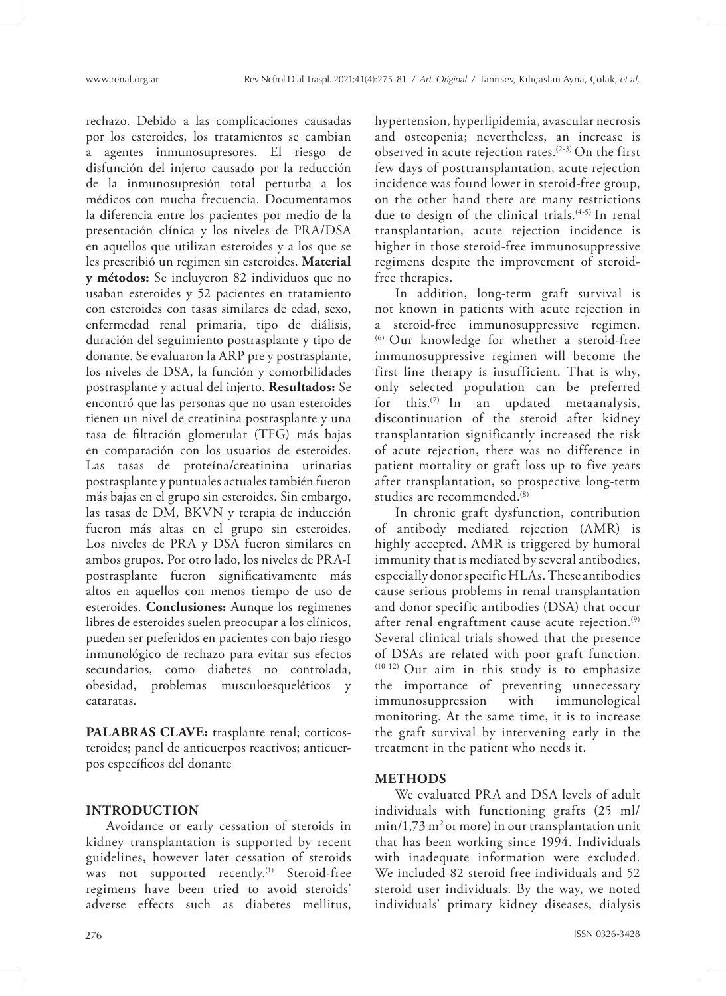rechazo. Debido a las complicaciones causadas por los esteroides, los tratamientos se cambian a agentes inmunosupresores. El riesgo de disfunción del injerto causado por la reducción de la inmunosupresión total perturba a los médicos con mucha frecuencia. Documentamos la diferencia entre los pacientes por medio de la presentación clínica y los niveles de PRA/DSA en aquellos que utilizan esteroides y a los que se les prescribió un regimen sin esteroides. **Material y métodos:** Se incluyeron 82 individuos que no usaban esteroides y 52 pacientes en tratamiento con esteroides con tasas similares de edad, sexo, enfermedad renal primaria, tipo de diálisis, duración del seguimiento postrasplante y tipo de donante. Se evaluaron la ARP pre y postrasplante, los niveles de DSA, la función y comorbilidades postrasplante y actual del injerto. **Resultados:** Se encontró que las personas que no usan esteroides tienen un nivel de creatinina postrasplante y una tasa de filtración glomerular (TFG) más bajas en comparación con los usuarios de esteroides. Las tasas de proteína/creatinina urinarias postrasplante y puntuales actuales también fueron más bajas en el grupo sin esteroides. Sin embargo, las tasas de DM, BKVN y terapia de inducción fueron más altas en el grupo sin esteroides. Los niveles de PRA y DSA fueron similares en ambos grupos. Por otro lado, los niveles de PRA-I postrasplante fueron significativamente más altos en aquellos con menos tiempo de uso de esteroides. **Conclusiones:** Aunque los regimenes libres de esteroides suelen preocupar a los clínicos, pueden ser preferidos en pacientes con bajo riesgo inmunológico de rechazo para evitar sus efectos secundarios, como diabetes no controlada, obesidad, problemas musculoesqueléticos y cataratas.

**PALABRAS CLAVE:** trasplante renal; corticosteroides; panel de anticuerpos reactivos; anticuerpos específicos del donante

#### **INTRODUCTION**

Avoidance or early cessation of steroids in kidney transplantation is supported by recent guidelines, however later cessation of steroids was not supported recently.<sup>(1)</sup> Steroid-free regimens have been tried to avoid steroids' adverse effects such as diabetes mellitus, hypertension, hyperlipidemia, avascular necrosis and osteopenia; nevertheless, an increase is observed in acute rejection rates.<sup> $(2-3)$ </sup> On the first few days of posttransplantation, acute rejection incidence was found lower in steroid-free group, on the other hand there are many restrictions due to design of the clinical trials.(4-5) In renal transplantation, acute rejection incidence is higher in those steroid-free immunosuppressive regimens despite the improvement of steroidfree therapies.

In addition, long-term graft survival is not known in patients with acute rejection in a steroid-free immunosuppressive regimen. (6) Our knowledge for whether a steroid-free immunosuppressive regimen will become the first line therapy is insufficient. That is why, only selected population can be preferred for this.(7) In an updated metaanalysis, discontinuation of the steroid after kidney transplantation significantly increased the risk of acute rejection, there was no difference in patient mortality or graft loss up to five years after transplantation, so prospective long-term studies are recommended.<sup>(8)</sup>

In chronic graft dysfunction, contribution of antibody mediated rejection (AMR) is highly accepted. AMR is triggered by humoral immunity that is mediated by several antibodies, especially donor specific HLAs. These antibodies cause serious problems in renal transplantation and donor specific antibodies (DSA) that occur after renal engraftment cause acute rejection.<sup>(9)</sup> Several clinical trials showed that the presence of DSAs are related with poor graft function. (10-12) Our aim in this study is to emphasize the importance of preventing unnecessary immunosuppression with immunological monitoring. At the same time, it is to increase the graft survival by intervening early in the treatment in the patient who needs it.

#### **METHODS**

We evaluated PRA and DSA levels of adult individuals with functioning grafts (25 ml/  $min/1,73$  m<sup>2</sup> or more) in our transplantation unit that has been working since 1994. Individuals with inadequate information were excluded. We included 82 steroid free individuals and 52 steroid user individuals. By the way, we noted individuals' primary kidney diseases, dialysis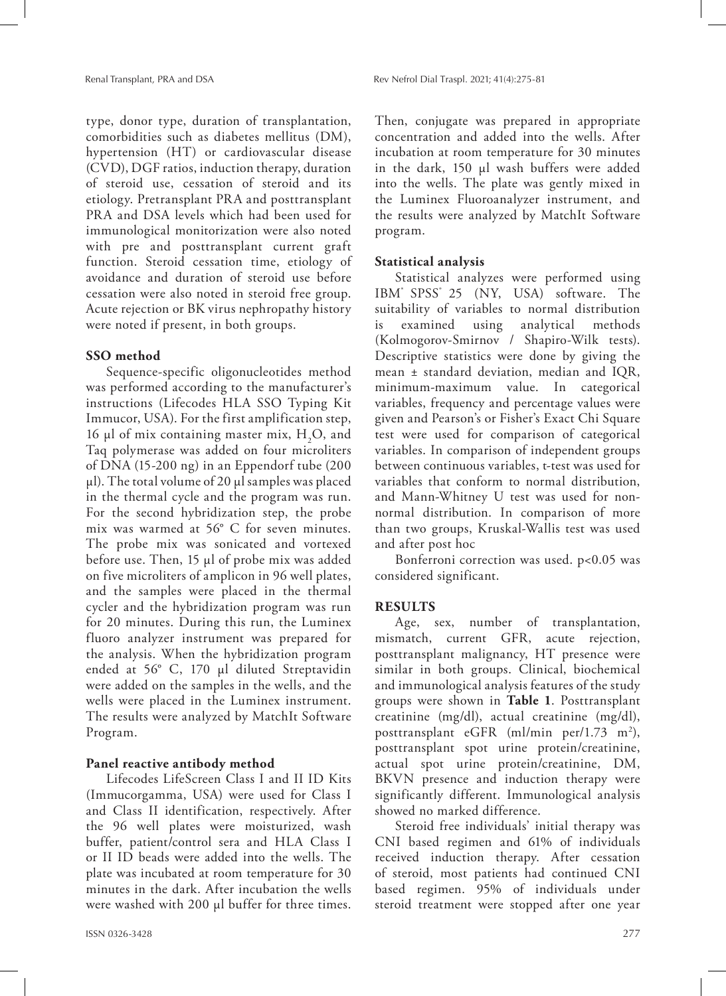type, donor type, duration of transplantation, comorbidities such as diabetes mellitus (DM), hypertension (HT) or cardiovascular disease (CVD), DGF ratios, induction therapy, duration of steroid use, cessation of steroid and its etiology. Pretransplant PRA and posttransplant PRA and DSA levels which had been used for immunological monitorization were also noted with pre and posttransplant current graft function. Steroid cessation time, etiology of avoidance and duration of steroid use before cessation were also noted in steroid free group. Acute rejection or BK virus nephropathy history were noted if present, in both groups.

### **SSO method**

Sequence-specific oligonucleotides method was performed according to the manufacturer's instructions (Lifecodes HLA SSO Typing Kit Immucor, USA). For the first amplification step, 16  $\mu$ l of mix containing master mix, H<sub>2</sub>O, and Taq polymerase was added on four microliters of DNA (15-200 ng) in an Eppendorf tube (200  $\mu$ l). The total volume of 20  $\mu$ l samples was placed in the thermal cycle and the program was run. For the second hybridization step, the probe mix was warmed at 56° C for seven minutes. The probe mix was sonicated and vortexed before use. Then, 15 µl of probe mix was added on five microliters of amplicon in 96 well plates, and the samples were placed in the thermal cycler and the hybridization program was run for 20 minutes. During this run, the Luminex fluoro analyzer instrument was prepared for the analysis. When the hybridization program ended at 56° C, 170 µl diluted Streptavidin were added on the samples in the wells, and the wells were placed in the Luminex instrument. The results were analyzed by MatchIt Software Program.

#### **Panel reactive antibody method**

Lifecodes LifeScreen Class I and II ID Kits (Immucorgamma, USA) were used for Class I and Class II identification, respectively. After the 96 well plates were moisturized, wash buffer, patient/control sera and HLA Class I or II ID beads were added into the wells. The plate was incubated at room temperature for 30 minutes in the dark. After incubation the wells were washed with 200 µl buffer for three times. Then, conjugate was prepared in appropriate concentration and added into the wells. After incubation at room temperature for 30 minutes in the dark, 150 µl wash buffers were added into the wells. The plate was gently mixed in the Luminex Fluoroanalyzer instrument, and the results were analyzed by MatchIt Software program.

#### **Statistical analysis**

Statistical analyzes were performed using IBM<sup>®</sup> SPSS<sup>®</sup> 25 (NY, USA) software. The suitability of variables to normal distribution is examined using analytical methods (Kolmogorov-Smirnov / Shapiro-Wilk tests). Descriptive statistics were done by giving the mean ± standard deviation, median and IQR, minimum-maximum value. In categorical variables, frequency and percentage values were given and Pearson's or Fisher's Exact Chi Square test were used for comparison of categorical variables. In comparison of independent groups between continuous variables, t-test was used for variables that conform to normal distribution, and Mann-Whitney U test was used for nonnormal distribution. In comparison of more than two groups, Kruskal-Wallis test was used and after post hoc

Bonferroni correction was used. p<0.05 was considered significant.

#### **RESULTS**

Age, sex, number of transplantation, mismatch, current GFR, acute rejection, posttransplant malignancy, HT presence were similar in both groups. Clinical, biochemical and immunological analysis features of the study groups were shown in **Table 1**. Posttransplant creatinine (mg/dl), actual creatinine (mg/dl), posttransplant eGFR (ml/min per/1.73 m2 ), posttransplant spot urine protein/creatinine, actual spot urine protein/creatinine, DM, BKVN presence and induction therapy were significantly different. Immunological analysis showed no marked difference.

Steroid free individuals' initial therapy was CNI based regimen and 61% of individuals received induction therapy. After cessation of steroid, most patients had continued CNI based regimen. 95% of individuals under steroid treatment were stopped after one year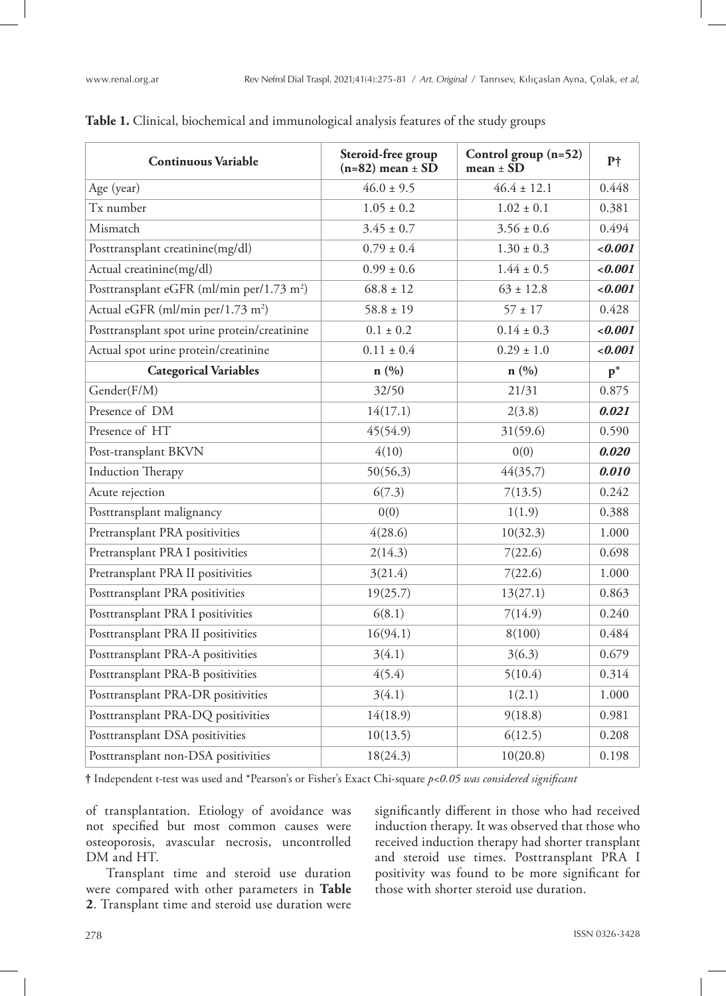| <b>Continuous Variable</b>                            | Steroid-free group<br>$(n=82)$ mean $\pm$ SD | Control group (n=52)<br>$mean \pm SD$ | $P\dagger$ |
|-------------------------------------------------------|----------------------------------------------|---------------------------------------|------------|
| Age (year)                                            | $46.0 \pm 9.5$                               | $46.4 \pm 12.1$                       | 0.448      |
| Tx number                                             | $1.05 \pm 0.2$                               | $1.02 \pm 0.1$                        | 0.381      |
| Mismatch                                              | $3.45 \pm 0.7$                               | $3.56 \pm 0.6$                        | 0.494      |
| Posttransplant creatinine(mg/dl)                      | $0.79 \pm 0.4$                               | $1.30 \pm 0.3$                        | 0.001      |
| Actual creatinine(mg/dl)                              | $0.99 \pm 0.6$                               | $1.44 \pm 0.5$                        | 0.001      |
| Posttransplant eGFR (ml/min per/1.73 m <sup>2</sup> ) | $68.8 \pm 12$                                | $63 \pm 12.8$                         | 0.001      |
| Actual eGFR (ml/min per/1.73 m <sup>2</sup> )         | $58.8 \pm 19$                                | $57 \pm 17$                           | 0.428      |
| Posttransplant spot urine protein/creatinine          | $0.1 \pm 0.2$                                | $0.14 \pm 0.3$                        | 0.001      |
| Actual spot urine protein/creatinine                  | $0.11 \pm 0.4$                               | $0.29 \pm 1.0$                        | 0.001      |
| <b>Categorical Variables</b>                          | n(%)                                         | n(%)                                  | $p^*$      |
| Gender(F/M)                                           | 32/50                                        | 21/31                                 | 0.875      |
| Presence of DM                                        | 14(17.1)                                     | 2(3.8)                                | 0.021      |
| Presence of HT                                        | 45(54.9)                                     | 31(59.6)                              | 0.590      |
| Post-transplant BKVN                                  | 4(10)                                        | 0(0)                                  | 0.020      |
| <b>Induction Therapy</b>                              | 50(56,3)                                     | 44(35,7)                              | 0.010      |
| Acute rejection                                       | 6(7.3)                                       | 7(13.5)                               | 0.242      |
| Posttransplant malignancy                             | 0(0)                                         | 1(1.9)                                | 0.388      |
| Pretransplant PRA positivities                        | 4(28.6)                                      | 10(32.3)                              | 1.000      |
| Pretransplant PRA I positivities                      | 2(14.3)                                      | 7(22.6)                               | 0.698      |
| Pretransplant PRA II positivities                     | 3(21.4)                                      | 7(22.6)                               | 1.000      |
| Posttransplant PRA positivities                       | 19(25.7)                                     | 13(27.1)                              | 0.863      |
| Posttransplant PRA I positivities                     | 6(8.1)                                       | 7(14.9)                               | 0.240      |
| Posttransplant PRA II positivities                    | 16(94.1)                                     | 8(100)                                | 0.484      |
| Posttransplant PRA-A positivities                     | 3(4.1)                                       | 3(6.3)                                | 0.679      |
| Posttransplant PRA-B positivities                     | 4(5.4)                                       | 5(10.4)                               | 0.314      |
| Posttransplant PRA-DR positivities                    | 3(4.1)                                       | 1(2.1)                                | 1.000      |
| Posttransplant PRA-DQ positivities                    | 14(18.9)                                     | 9(18.8)                               | 0.981      |
| Posttransplant DSA positivities                       | 10(13.5)                                     | 6(12.5)                               | 0.208      |
| Posttransplant non-DSA positivities                   | 18(24.3)                                     | 10(20.8)                              | 0.198      |

#### **Table 1.** Clinical, biochemical and immunological analysis features of the study groups

**†** Independent t-test was used and \*Pearson's or Fisher's Exact Chi-square *p<0.05 was considered significant*

of transplantation. Etiology of avoidance was not specified but most common causes were osteoporosis, avascular necrosis, uncontrolled DM and HT.

Transplant time and steroid use duration were compared with other parameters in **Table 2**. Transplant time and steroid use duration were

significantly different in those who had received induction therapy. It was observed that those who received induction therapy had shorter transplant and steroid use times. Posttransplant PRA I positivity was found to be more significant for those with shorter steroid use duration.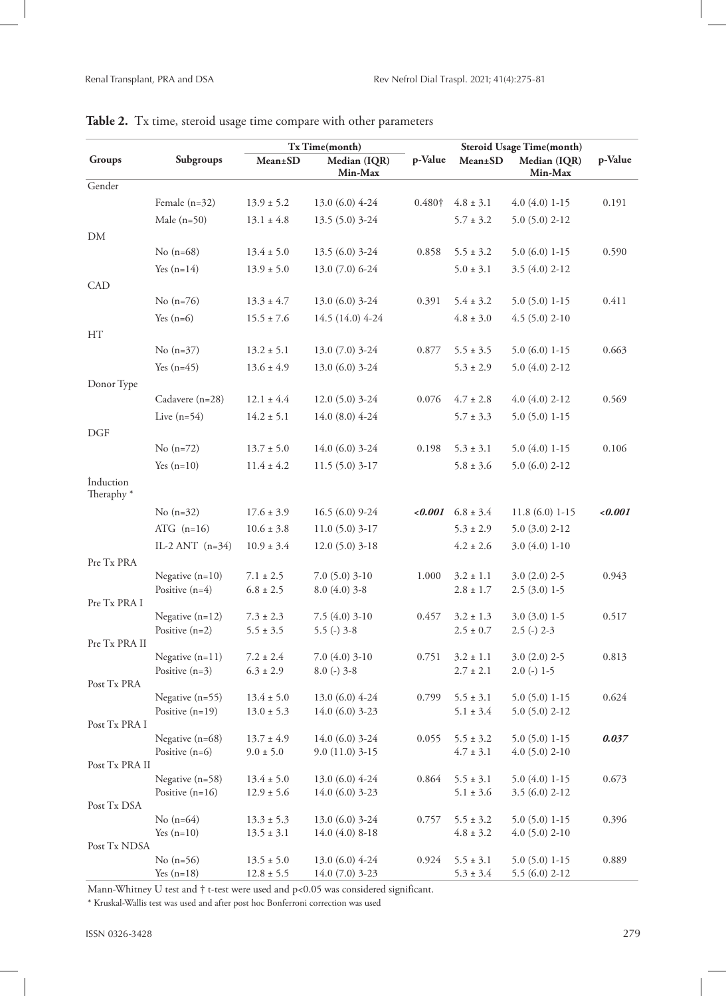|                                    |                                       | Tx Time(month)                   |                                      |         | <b>Steroid Usage Time(month)</b> |                                   |         |
|------------------------------------|---------------------------------------|----------------------------------|--------------------------------------|---------|----------------------------------|-----------------------------------|---------|
| Groups                             | Subgroups                             | Mean±SD                          | Median (IQR)<br>Min-Max              | p-Value | Mean±SD                          | Median (IQR)<br>Min-Max           | p-Value |
| Gender                             |                                       |                                  |                                      |         |                                  |                                   |         |
|                                    | Female $(n=32)$                       | $13.9 \pm 5.2$                   | $13.0(6.0)$ 4-24                     | 0.480+  | $4.8 \pm 3.1$                    | $4.0(4.0)$ 1-15                   | 0.191   |
|                                    | Male $(n=50)$                         | $13.1 \pm 4.8$                   | 13.5 (5.0) 3-24                      |         | $5.7 \pm 3.2$                    | $5.0(5.0)$ 2-12                   |         |
| DM                                 |                                       |                                  |                                      |         |                                  |                                   |         |
|                                    | No $(n=68)$                           | $13.4 \pm 5.0$                   | $13.5(6.0)$ 3-24                     | 0.858   | $5.5 \pm 3.2$                    | $5.0(6.0)1-15$                    | 0.590   |
|                                    | Yes $(n=14)$                          | $13.9 \pm 5.0$                   | 13.0 (7.0) 6-24                      |         | $5.0 \pm 3.1$                    | $3.5(4.0)$ 2-12                   |         |
| CAD                                |                                       |                                  |                                      |         |                                  |                                   |         |
|                                    | No $(n=76)$                           | $13.3 \pm 4.7$                   | $13.0(6.0)$ 3-24                     | 0.391   | $5.4 \pm 3.2$                    | $5.0(5.0)1-15$                    | 0.411   |
|                                    | Yes $(n=6)$                           | $15.5 \pm 7.6$                   | 14.5 (14.0) 4-24                     |         | $4.8 \pm 3.0$                    | $4.5(5.0)$ 2-10                   |         |
| HT                                 |                                       |                                  |                                      |         |                                  |                                   |         |
|                                    | No $(n=37)$                           | $13.2 \pm 5.1$                   | $13.0(7.0)$ 3-24                     | 0.877   | $5.5 \pm 3.5$                    | $5.0(6.0)1-15$                    | 0.663   |
|                                    | Yes $(n=45)$                          | $13.6 \pm 4.9$                   | 13.0 (6.0) 3-24                      |         | $5.3 \pm 2.9$                    | $5.0(4.0)$ 2-12                   |         |
| Donor Type                         |                                       |                                  |                                      |         |                                  |                                   |         |
|                                    | Cadavere (n=28)                       | $12.1 \pm 4.4$                   | $12.0(5.0)$ 3-24                     | 0.076   | $4.7 \pm 2.8$                    | $4.0(4.0)$ 2-12                   | 0.569   |
|                                    | Live $(n=54)$                         | $14.2 \pm 5.1$                   | 14.0 (8.0) 4-24                      |         |                                  | $5.0(5.0)1-15$                    |         |
|                                    |                                       |                                  |                                      |         | $5.7 \pm 3.3$                    |                                   |         |
| <b>DGF</b>                         |                                       |                                  | 14.0 (6.0) 3-24                      | 0.198   | $5.3 \pm 3.1$                    | $5.0(4.0)$ 1-15                   | 0.106   |
|                                    | No $(n=72)$                           | $13.7 \pm 5.0$                   |                                      |         |                                  |                                   |         |
|                                    | Yes $(n=10)$                          | $11.4 \pm 4.2$                   | $11.5(5.0)3-17$                      |         | $5.8 \pm 3.6$                    | $5.0(6.0)$ 2-12                   |         |
| İnduction<br>Theraphy <sup>*</sup> |                                       |                                  |                                      |         |                                  |                                   |         |
|                                    | No $(n=32)$                           | $17.6 \pm 3.9$                   | 16.5 (6.0) 9-24                      | < 0.001 | $6.8 \pm 3.4$                    | $11.8(6.0)1-15$                   | 0.001   |
|                                    | ATG $(n=16)$                          | $10.6 \pm 3.8$                   | $11.0(5.0)3-17$                      |         | $5.3 \pm 2.9$                    | $5.0(3.0)$ 2-12                   |         |
|                                    | IL-2 ANT $(n=34)$                     | $10.9 \pm 3.4$                   | $12.0(5.0)$ 3-18                     |         | $4.2 \pm 2.6$                    | $3.0(4.0)1-10$                    |         |
| Pre Tx PRA                         |                                       |                                  |                                      |         |                                  |                                   |         |
|                                    | Negative $(n=10)$                     | $7.1 \pm 2.5$                    | $7.0(5.0)3-10$                       | 1.000   | $3.2 \pm 1.1$                    | $3.0(2.0)$ 2-5                    | 0.943   |
|                                    | Positive $(n=4)$                      | $6.8 \pm 2.5$                    | $8.0(4.0)$ 3-8                       |         | $2.8 \pm 1.7$                    | $2.5(3.0)$ 1-5                    |         |
| Pre Tx PRA I                       |                                       |                                  |                                      |         |                                  |                                   |         |
|                                    | Negative $(n=12)$<br>Positive $(n=2)$ | $7.3 \pm 2.3$<br>$5.5 \pm 3.5$   | $7.5(4.0)$ 3-10                      | 0.457   | $3.2 \pm 1.3$                    | $3.0(3.0)$ 1-5                    | 0.517   |
| Pre Tx PRA II                      |                                       |                                  | $5.5$ (-) $3-8$                      |         | $2.5 \pm 0.7$                    | $2.5$ (-) $2-3$                   |         |
|                                    | Negative $(n=11)$                     | $7.2 \pm 2.4$                    | $7.0(4.0)$ 3-10                      | 0.751   | $3.2 \pm 1.1$                    | $3.0(2.0)$ 2-5                    | 0.813   |
|                                    | Positive $(n=3)$                      | $6.3 \pm 2.9$                    | $8.0$ (-) $3-8$                      |         | $2.7 \pm 2.1$                    | $2.0$ (-) 1-5                     |         |
| Post Tx PRA                        |                                       |                                  |                                      |         |                                  |                                   |         |
|                                    | Negative $(n=55)$                     | $13.4 \pm 5.0$                   | 13.0 (6.0) 4-24                      | 0.799   | $5.5 \pm 3.1$                    | $5.0(5.0)1-15$                    | 0.624   |
|                                    | Positive $(n=19)$                     | $13.0 \pm 5.3$                   | 14.0 (6.0) 3-23                      |         | $5.1 \pm 3.4$                    | $5.0(5.0)$ 2-12                   |         |
| Post Tx PRA I                      | Negative (n=68)                       | $13.7 \pm 4.9$                   | 14.0 (6.0) 3-24                      | 0.055   | $5.5 \pm 3.2$                    | $5.0(5.0)1-15$                    | 0.037   |
|                                    | Positive $(n=6)$                      | $9.0 \pm 5.0$                    | $9.0(11.0)$ 3-15                     |         | $4.7 \pm 3.1$                    | $4.0(5.0)$ 2-10                   |         |
| Post Tx PRA II                     |                                       |                                  |                                      |         |                                  |                                   |         |
|                                    | Negative (n=58)                       | $13.4 \pm 5.0$                   | 13.0 (6.0) 4-24                      | 0.864   | $5.5 \pm 3.1$                    | $5.0(4.0)$ 1-15                   | 0.673   |
|                                    | Positive $(n=16)$                     | $12.9 \pm 5.6$                   | 14.0 (6.0) 3-23                      |         | $5.1 \pm 3.6$                    | $3.5(6.0)$ 2-12                   |         |
| Post Tx DSA                        |                                       |                                  |                                      |         |                                  |                                   |         |
|                                    | No $(n=64)$<br>Yes $(n=10)$           | $13.3 \pm 5.3$<br>$13.5 \pm 3.1$ | $13.0(6.0)$ 3-24<br>$14.0(4.0)$ 8-18 | 0.757   | $5.5 \pm 3.2$<br>$4.8 \pm 3.2$   | $5.0(5.0)1-15$<br>$4.0(5.0)$ 2-10 | 0.396   |
| Post Tx NDSA                       |                                       |                                  |                                      |         |                                  |                                   |         |
|                                    | No $(n=56)$                           | $13.5 \pm 5.0$                   | 13.0 (6.0) 4-24                      | 0.924   | $5.5 \pm 3.1$                    | $5.0(5.0)1-15$                    | 0.889   |
|                                    | Yes $(n=18)$                          | $12.8 \pm 5.5$                   | 14.0 (7.0) 3-23                      |         | $5.3 \pm 3.4$                    | $5.5(6.0)$ 2-12                   |         |

## Table 2. Tx time, steroid usage time compare with other parameters

Mann-Whitney U test and † t-test were used and p<0.05 was considered significant.

\* Kruskal-Wallis test was used and after post hoc Bonferroni correction was used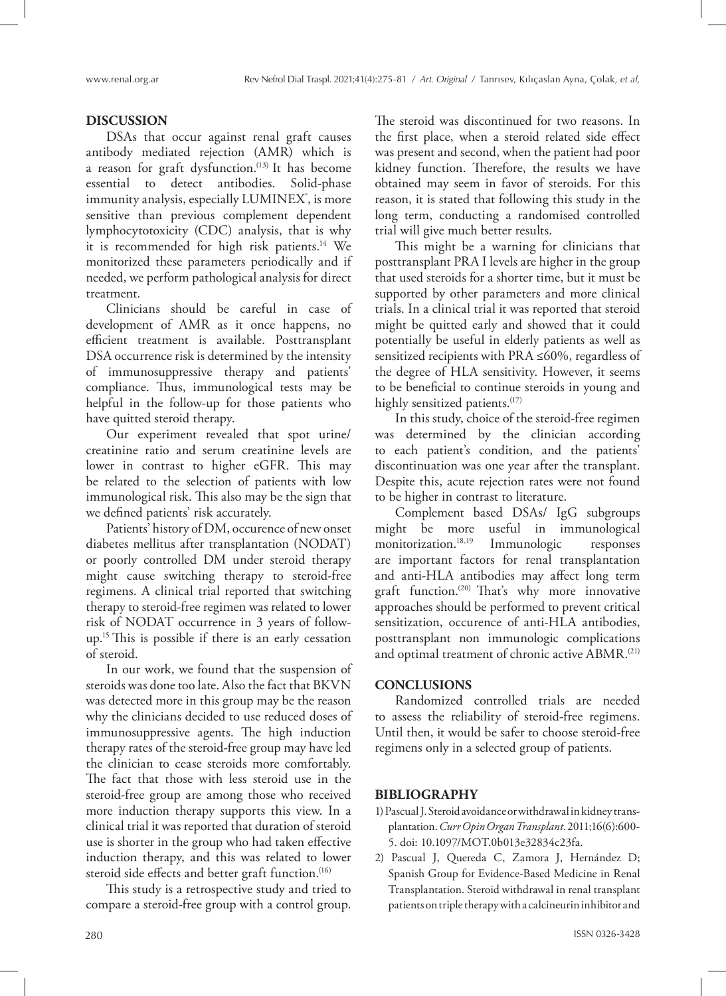### **DISCUSSION**

DSAs that occur against renal graft causes antibody mediated rejection (AMR) which is a reason for graft dysfunction.<sup>(13)</sup> It has become essential to detect antibodies. Solid-phase immunity analysis, especially LUMINEX˚, is more sensitive than previous complement dependent lymphocytotoxicity (CDC) analysis, that is why it is recommended for high risk patients.14 We monitorized these parameters periodically and if needed, we perform pathological analysis for direct treatment.

Clinicians should be careful in case of development of AMR as it once happens, no efficient treatment is available. Posttransplant DSA occurrence risk is determined by the intensity of immunosuppressive therapy and patients' compliance. Thus, immunological tests may be helpful in the follow-up for those patients who have quitted steroid therapy.

Our experiment revealed that spot urine/ creatinine ratio and serum creatinine levels are lower in contrast to higher eGFR. This may be related to the selection of patients with low immunological risk. This also may be the sign that we defined patients' risk accurately.

Patients' history of DM, occurence of new onset diabetes mellitus after transplantation (NODAT) or poorly controlled DM under steroid therapy might cause switching therapy to steroid-free regimens. A clinical trial reported that switching therapy to steroid-free regimen was related to lower risk of NODAT occurrence in 3 years of followup.15 This is possible if there is an early cessation of steroid.

In our work, we found that the suspension of steroids was done too late. Also the fact that BKVN was detected more in this group may be the reason why the clinicians decided to use reduced doses of immunosuppressive agents. The high induction therapy rates of the steroid-free group may have led the clinician to cease steroids more comfortably. The fact that those with less steroid use in the steroid-free group are among those who received more induction therapy supports this view. In a clinical trial it was reported that duration of steroid use is shorter in the group who had taken effective induction therapy, and this was related to lower steroid side effects and better graft function.<sup>(16)</sup>

This study is a retrospective study and tried to compare a steroid-free group with a control group.

The steroid was discontinued for two reasons. In the first place, when a steroid related side effect was present and second, when the patient had poor kidney function. Therefore, the results we have obtained may seem in favor of steroids. For this reason, it is stated that following this study in the long term, conducting a randomised controlled trial will give much better results.

This might be a warning for clinicians that posttransplant PRA I levels are higher in the group that used steroids for a shorter time, but it must be supported by other parameters and more clinical trials. In a clinical trial it was reported that steroid might be quitted early and showed that it could potentially be useful in elderly patients as well as sensitized recipients with PRA ≤60%, regardless of the degree of HLA sensitivity. However, it seems to be beneficial to continue steroids in young and highly sensitized patients.<sup>(17)</sup>

In this study, choice of the steroid-free regimen was determined by the clinician according to each patient's condition, and the patients' discontinuation was one year after the transplant. Despite this, acute rejection rates were not found to be higher in contrast to literature.

Complement based DSAs/ IgG subgroups might be more useful in immunological monitorization.<sup>18,19</sup> Immunologic responses are important factors for renal transplantation and anti-HLA antibodies may affect long term graft function.(20) That's why more innovative approaches should be performed to prevent critical sensitization, occurence of anti-HLA antibodies, posttransplant non immunologic complications and optimal treatment of chronic active ABMR.<sup>(21)</sup>

### **CONCLUSIONS**

Randomized controlled trials are needed to assess the reliability of steroid-free regimens. Until then, it would be safer to choose steroid-free regimens only in a selected group of patients.

# **BIBLIOGRAPHY**

- 1) Pascual J. Steroid avoidance or withdrawal in kidney transplantation. *Curr Opin Organ Transplant*. 2011;16(6):600- 5. doi: 10.1097/MOT.0b013e32834c23fa.
- 2) Pascual J, Quereda C, Zamora J, Hernández D; Spanish Group for Evidence-Based Medicine in Renal Transplantation. Steroid withdrawal in renal transplant patients on triple therapy with a calcineurin inhibitor and